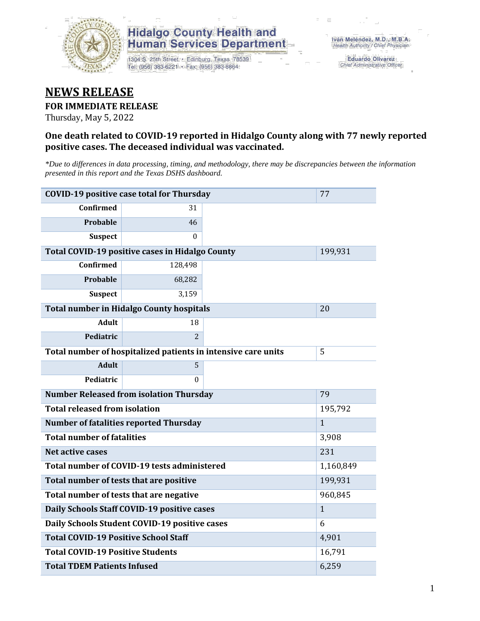

# **Hidalgo County Health and Human Services Department**

1304 S. 25th Street · Edinburg, Texas 78539 Tel: (956) 383-6221 · Fax: (956) 383-8864

**Eduardo Olivarez** Chief Administrative Officer

# **NEWS RELEASE**

### **FOR IMMEDIATE RELEASE**

Thursday, May 5, 2022

### **One death related to COVID-19 reported in Hidalgo County along with 77 newly reported positive cases. The deceased individual was vaccinated.**

*\*Due to differences in data processing, timing, and methodology, there may be discrepancies between the information presented in this report and the Texas DSHS dashboard.*

| <b>COVID-19 positive case total for Thursday</b><br>77        |                                                 |         |         |  |  |
|---------------------------------------------------------------|-------------------------------------------------|---------|---------|--|--|
| <b>Confirmed</b>                                              | 31                                              |         |         |  |  |
| Probable                                                      | 46                                              |         |         |  |  |
| <b>Suspect</b>                                                | $\Omega$                                        |         |         |  |  |
|                                                               | Total COVID-19 positive cases in Hidalgo County |         | 199,931 |  |  |
| <b>Confirmed</b>                                              | 128,498                                         |         |         |  |  |
| Probable                                                      | 68,282                                          |         |         |  |  |
| <b>Suspect</b>                                                | 3,159                                           |         |         |  |  |
| <b>Total number in Hidalgo County hospitals</b>               | 20                                              |         |         |  |  |
| <b>Adult</b>                                                  | 18                                              |         |         |  |  |
| Pediatric                                                     | $\overline{2}$                                  |         |         |  |  |
| Total number of hospitalized patients in intensive care units | 5                                               |         |         |  |  |
| <b>Adult</b>                                                  | 5                                               |         |         |  |  |
| Pediatric                                                     | $\theta$                                        |         |         |  |  |
| <b>Number Released from isolation Thursday</b>                | 79                                              |         |         |  |  |
| <b>Total released from isolation</b>                          |                                                 | 195,792 |         |  |  |
| <b>Number of fatalities reported Thursday</b>                 | $\mathbf{1}$                                    |         |         |  |  |
| <b>Total number of fatalities</b>                             | 3,908                                           |         |         |  |  |
| Net active cases                                              | 231                                             |         |         |  |  |
| Total number of COVID-19 tests administered                   | 1,160,849                                       |         |         |  |  |
| Total number of tests that are positive                       | 199,931                                         |         |         |  |  |
| Total number of tests that are negative                       | 960,845                                         |         |         |  |  |
| Daily Schools Staff COVID-19 positive cases                   | $\mathbf{1}$                                    |         |         |  |  |
| Daily Schools Student COVID-19 positive cases                 | 6                                               |         |         |  |  |
| <b>Total COVID-19 Positive School Staff</b>                   | 4,901                                           |         |         |  |  |
| <b>Total COVID-19 Positive Students</b>                       | 16,791                                          |         |         |  |  |
| <b>Total TDEM Patients Infused</b>                            | 6,259                                           |         |         |  |  |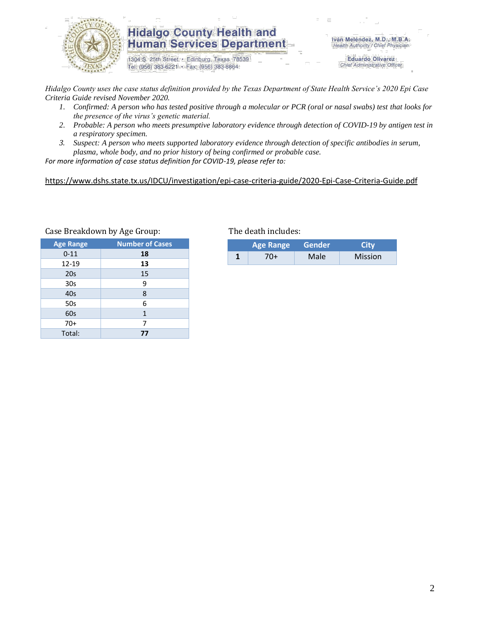

## **Hidalgo County Health and Human Services Department**

1304 S. 25th Street · Edinburg, Texas 78539 Tel: (956) 383-6221 · Fax: (956) 383-8864

Iván Meléndez, M.D., M.B.A. Health Authority / Chief Physician

> **Eduardo Olivarez** Chief Administrative Officer

*Hidalgo County uses the case status definition provided by the Texas Department of State Health Service's 2020 Epi Case Criteria Guide revised November 2020.*

- *1. Confirmed: A person who has tested positive through a molecular or PCR (oral or nasal swabs) test that looks for the presence of the virus's genetic material.*
- *2. Probable: A person who meets presumptive laboratory evidence through detection of COVID-19 by antigen test in a respiratory specimen.*
- *3. Suspect: A person who meets supported laboratory evidence through detection of specific antibodies in serum, plasma, whole body, and no prior history of being confirmed or probable case.*

*For more information of case status definition for COVID-19, please refer to:*

<https://www.dshs.state.tx.us/IDCU/investigation/epi-case-criteria-guide/2020-Epi-Case-Criteria-Guide.pdf>

| <b>Age Range</b> | <b>Number of Cases</b> |
|------------------|------------------------|
| $0 - 11$         | 18                     |
| 12-19            | 13                     |
| 20s              | 15                     |
| 30 <sub>s</sub>  | 9                      |
| 40s              | 8                      |
| 50s              | 6                      |
| 60s              | 1                      |
| $70+$            | 7                      |
| Total:           | 77                     |

#### Case Breakdown by Age Group: The death includes:

| <b>Age Range</b> |     | Gender | City           |  |
|------------------|-----|--------|----------------|--|
|                  | 70+ | Male   | <b>Mission</b> |  |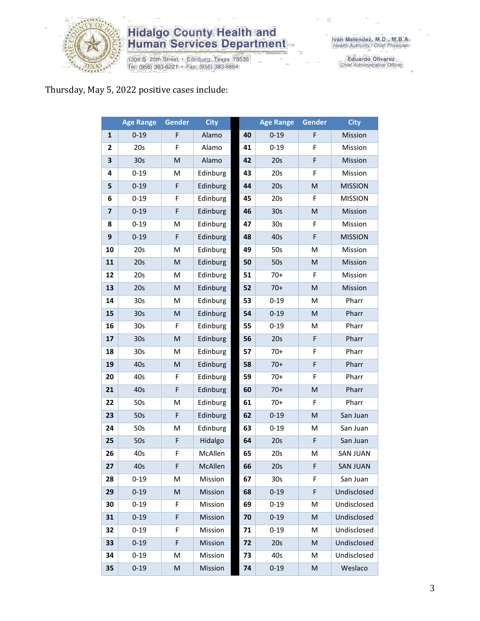

# **Hidalgo County Health and<br>Human Services Department**

1304 S. 25th Street • Edinburg, Texas 78539<br>Tel: (956) 383-6221 • Fax: (956) 383-8864

Eduardo Olivarez<br>Chief Administrative Officer

### Thursday, May 5, 2022 positive cases include:

|                         | <b>Age Range</b> | Gender | <b>City</b> |    | <b>Age Range</b> | <b>Gender</b> | <b>City</b>     |
|-------------------------|------------------|--------|-------------|----|------------------|---------------|-----------------|
| $\mathbf{1}$            | $0 - 19$         | F      | Alamo       | 40 | $0 - 19$         | F             | Mission         |
| $\mathbf{2}$            | 20s              | F      | Alamo       | 41 | $0 - 19$         | F             | Mission         |
| 3                       | 30s              | M      | Alamo       | 42 | 20s              | F             | Mission         |
| 4                       | $0 - 19$         | M      | Edinburg    | 43 | 20s              | F             | Mission         |
| 5                       | $0 - 19$         | F      | Edinburg    | 44 | 20s              | M             | <b>MISSION</b>  |
| 6                       | $0 - 19$         | F      | Edinburg    | 45 | 20s              | F             | <b>MISSION</b>  |
| $\overline{\mathbf{z}}$ | $0 - 19$         | F      | Edinburg    | 46 | 30 <sub>s</sub>  | ${\sf M}$     | Mission         |
| 8                       | $0 - 19$         | M      | Edinburg    | 47 | 30 <sub>s</sub>  | F             | Mission         |
| 9                       | $0 - 19$         | F      | Edinburg    | 48 | 40s              | $\mathsf F$   | <b>MISSION</b>  |
| 10                      | 20s              | M      | Edinburg    | 49 | 50s              | M             | Mission         |
| 11                      | 20s              | M      | Edinburg    | 50 | 50s              | ${\sf M}$     | Mission         |
| 12                      | 20s              | M      | Edinburg    | 51 | $70+$            | F             | Mission         |
| 13                      | 20s              | M      | Edinburg    | 52 | $70+$            | M             | Mission         |
| 14                      | 30s              | M      | Edinburg    | 53 | $0 - 19$         | M             | Pharr           |
| 15                      | 30s              | M      | Edinburg    | 54 | $0 - 19$         | M             | Pharr           |
| 16                      | 30s              | F      | Edinburg    | 55 | $0 - 19$         | M             | Pharr           |
| 17                      | 30s              | M      | Edinburg    | 56 | 20s              | F             | Pharr           |
| 18                      | 30s              | M      | Edinburg    | 57 | $70+$            | F             | Pharr           |
| 19                      | 40s              | M      | Edinburg    | 58 | $70+$            | F             | Pharr           |
| 20                      | 40s              | F      | Edinburg    | 59 | $70+$            | F             | Pharr           |
| 21                      | 40s              | F      | Edinburg    | 60 | $70+$            | M             | Pharr           |
| 22                      | 50s              | M      | Edinburg    | 61 | $70+$            | F             | Pharr           |
| 23                      | 50s              | F      | Edinburg    | 62 | $0 - 19$         | ${\sf M}$     | San Juan        |
| 24                      | 50s              | M      | Edinburg    | 63 | $0 - 19$         | M             | San Juan        |
| 25                      | 50s              | F      | Hidalgo     | 64 | 20s              | F             | San Juan        |
| 26                      | 40s              | F      | McAllen     | 65 | 20s              | M             | <b>SAN JUAN</b> |
| 27                      | 40s              | F      | McAllen     | 66 | 20s              | F             | <b>SAN JUAN</b> |
| 28                      | $0 - 19$         | M      | Mission     | 67 | 30 <sub>s</sub>  | F             | San Juan        |
| 29                      | $0 - 19$         | M      | Mission     | 68 | $0 - 19$         | F             | Undisclosed     |
| 30                      | $0 - 19$         | F      | Mission     | 69 | $0 - 19$         | M             | Undisclosed     |
| 31                      | $0 - 19$         | F      | Mission     | 70 | $0 - 19$         | M             | Undisclosed     |
| 32                      | $0 - 19$         | F      | Mission     | 71 | $0 - 19$         | M             | Undisclosed     |
| 33                      | $0 - 19$         | F      | Mission     | 72 | 20s              | M             | Undisclosed     |
| 34                      | $0 - 19$         | M      | Mission     | 73 | 40s              | M             | Undisclosed     |
| 35                      | $0 - 19$         | M      | Mission     | 74 | $0 - 19$         | M             | Weslaco         |